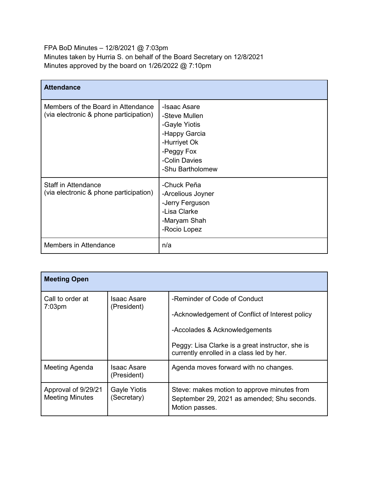FPA BoD Minutes – 12/8/2021 @ 7:03pm Minutes taken by Hurria S. on behalf of the Board Secretary on 12/8/2021 Minutes approved by the board on 1/26/2022 @ 7:10pm

| <b>Attendance</b>                                                            |                                                                                                                                    |
|------------------------------------------------------------------------------|------------------------------------------------------------------------------------------------------------------------------------|
| Members of the Board in Attendance<br>(via electronic & phone participation) | -Isaac Asare<br>-Steve Mullen<br>-Gayle Yiotis<br>-Happy Garcia<br>-Hurriyet Ok<br>-Peggy Fox<br>-Colin Davies<br>-Shu Bartholomew |
| <b>Staff in Attendance</b><br>(via electronic & phone participation)         | -Chuck Peña<br>-Arcelious Joyner<br>-Jerry Ferguson<br>-Lisa Clarke<br>-Maryam Shah<br>-Rocio Lopez                                |
| Members in Attendance                                                        | n/a                                                                                                                                |

| <b>Meeting Open</b>                           |                                    |                                                                                                                                                                                                                   |
|-----------------------------------------------|------------------------------------|-------------------------------------------------------------------------------------------------------------------------------------------------------------------------------------------------------------------|
| Call to order at<br>$7:03$ pm                 | Isaac Asare<br>(President)         | -Reminder of Code of Conduct<br>-Acknowledgement of Conflict of Interest policy<br>-Accolades & Acknowledgements<br>Peggy: Lisa Clarke is a great instructor, she is<br>currently enrolled in a class led by her. |
| Meeting Agenda                                | Isaac Asare<br>(President)         | Agenda moves forward with no changes.                                                                                                                                                                             |
| Approval of 9/29/21<br><b>Meeting Minutes</b> | <b>Gayle Yiotis</b><br>(Secretary) | Steve: makes motion to approve minutes from<br>September 29, 2021 as amended; Shu seconds.<br>Motion passes.                                                                                                      |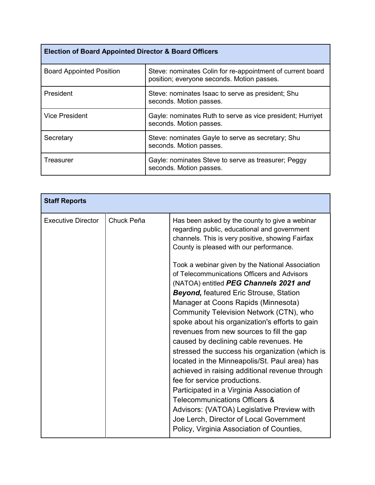| <b>Election of Board Appointed Director &amp; Board Officers</b> |                                                                                                          |  |
|------------------------------------------------------------------|----------------------------------------------------------------------------------------------------------|--|
| <b>Board Appointed Position</b>                                  | Steve: nominates Colin for re-appointment of current board<br>position; everyone seconds. Motion passes. |  |
| President                                                        | Steve: nominates Isaac to serve as president; Shu<br>seconds. Motion passes.                             |  |
| <b>Vice President</b>                                            | Gayle: nominates Ruth to serve as vice president; Hurriyet<br>seconds. Motion passes.                    |  |
| Secretary                                                        | Steve: nominates Gayle to serve as secretary; Shu<br>seconds. Motion passes.                             |  |
| Treasurer                                                        | Gayle: nominates Steve to serve as treasurer; Peggy<br>seconds. Motion passes.                           |  |

| <b>Staff Reports</b>                    |                                                                                                                                                                                                                                                                                                                                                                                                                                                                                                                                                                                                                                                                                                                                                                                                                                                                                                                                                                                                                                  |
|-----------------------------------------|----------------------------------------------------------------------------------------------------------------------------------------------------------------------------------------------------------------------------------------------------------------------------------------------------------------------------------------------------------------------------------------------------------------------------------------------------------------------------------------------------------------------------------------------------------------------------------------------------------------------------------------------------------------------------------------------------------------------------------------------------------------------------------------------------------------------------------------------------------------------------------------------------------------------------------------------------------------------------------------------------------------------------------|
| <b>Executive Director</b><br>Chuck Peña | Has been asked by the county to give a webinar<br>regarding public, educational and government<br>channels. This is very positive, showing Fairfax<br>County is pleased with our performance.<br>Took a webinar given by the National Association<br>of Telecommunications Officers and Advisors<br>(NATOA) entitled PEG Channels 2021 and<br><b>Beyond, featured Eric Strouse, Station</b><br>Manager at Coons Rapids (Minnesota)<br>Community Television Network (CTN), who<br>spoke about his organization's efforts to gain<br>revenues from new sources to fill the gap<br>caused by declining cable revenues. He<br>stressed the success his organization (which is<br>located in the Minneapolis/St. Paul area) has<br>achieved in raising additional revenue through<br>fee for service productions.<br>Participated in a Virginia Association of<br>Telecommunications Officers &<br>Advisors: {VATOA) Legislative Preview with<br>Joe Lerch, Director of Local Government<br>Policy, Virginia Association of Counties, |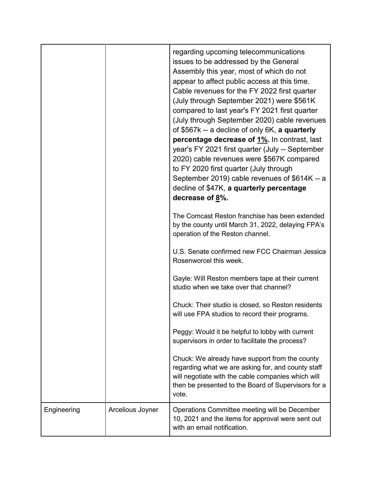|             |                                                                                                     | regarding upcoming telecommunications<br>issues to be addressed by the General<br>Assembly this year, most of which do not<br>appear to affect public access at this time.<br>Cable revenues for the FY 2022 first quarter<br>(July through September 2021) were \$561K<br>compared to last year's FY 2021 first quarter<br>(July through September 2020) cable revenues<br>of \$567k -- a decline of only 6K, a quarterly<br>percentage decrease of 1%. In contrast, last<br>year's FY 2021 first quarter (July -- September<br>2020) cable revenues were \$567K compared<br>to FY 2020 first quarter (July through<br>September 2019) cable revenues of \$614K -- a<br>decline of \$47K, a quarterly percentage<br>decrease of 8%. |
|-------------|-----------------------------------------------------------------------------------------------------|--------------------------------------------------------------------------------------------------------------------------------------------------------------------------------------------------------------------------------------------------------------------------------------------------------------------------------------------------------------------------------------------------------------------------------------------------------------------------------------------------------------------------------------------------------------------------------------------------------------------------------------------------------------------------------------------------------------------------------------|
|             |                                                                                                     | The Comcast Reston franchise has been extended<br>by the county until March 31, 2022, delaying FPA's<br>operation of the Reston channel.                                                                                                                                                                                                                                                                                                                                                                                                                                                                                                                                                                                             |
|             |                                                                                                     | U.S. Senate confirmed new FCC Chairman Jessica<br>Rosenworcel this week.                                                                                                                                                                                                                                                                                                                                                                                                                                                                                                                                                                                                                                                             |
|             |                                                                                                     | Gayle: Will Reston members tape at their current<br>studio when we take over that channel?                                                                                                                                                                                                                                                                                                                                                                                                                                                                                                                                                                                                                                           |
|             |                                                                                                     | Chuck: Their studio is closed, so Reston residents<br>will use FPA studios to record their programs.                                                                                                                                                                                                                                                                                                                                                                                                                                                                                                                                                                                                                                 |
|             | Peggy: Would it be helpful to lobby with current<br>supervisors in order to facilitate the process? |                                                                                                                                                                                                                                                                                                                                                                                                                                                                                                                                                                                                                                                                                                                                      |
|             |                                                                                                     | Chuck: We already have support from the county<br>regarding what we are asking for, and county staff<br>will negotiate with the cable companies which will<br>then be presented to the Board of Supervisors for a<br>vote.                                                                                                                                                                                                                                                                                                                                                                                                                                                                                                           |
| Engineering | Arcelious Joyner                                                                                    | Operations Committee meeting will be December<br>10, 2021 and the items for approval were sent out<br>with an email notification.                                                                                                                                                                                                                                                                                                                                                                                                                                                                                                                                                                                                    |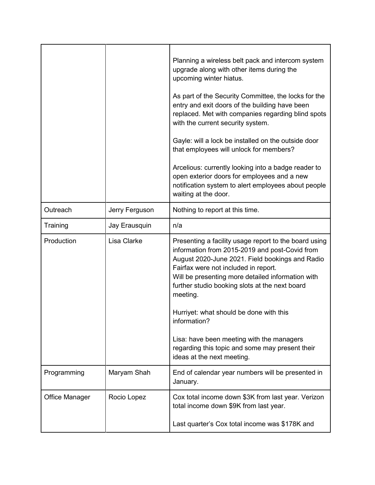|                       |                | Planning a wireless belt pack and intercom system<br>upgrade along with other items during the<br>upcoming winter hiatus.<br>As part of the Security Committee, the locks for the<br>entry and exit doors of the building have been<br>replaced. Met with companies regarding blind spots<br>with the current security system.<br>Gayle: will a lock be installed on the outside door<br>that employees will unlock for members?<br>Arcelious: currently looking into a badge reader to<br>open exterior doors for employees and a new<br>notification system to alert employees about people<br>waiting at the door. |
|-----------------------|----------------|-----------------------------------------------------------------------------------------------------------------------------------------------------------------------------------------------------------------------------------------------------------------------------------------------------------------------------------------------------------------------------------------------------------------------------------------------------------------------------------------------------------------------------------------------------------------------------------------------------------------------|
| Outreach              | Jerry Ferguson | Nothing to report at this time.                                                                                                                                                                                                                                                                                                                                                                                                                                                                                                                                                                                       |
| Training              | Jay Erausquin  | n/a                                                                                                                                                                                                                                                                                                                                                                                                                                                                                                                                                                                                                   |
| Production            | Lisa Clarke    | Presenting a facility usage report to the board using<br>information from 2015-2019 and post-Covid from<br>August 2020-June 2021. Field bookings and Radio<br>Fairfax were not included in report.<br>Will be presenting more detailed information with<br>further studio booking slots at the next board<br>meeting.<br>Hurriyet: what should be done with this<br>information?<br>Lisa: have been meeting with the managers<br>regarding this topic and some may present their<br>ideas at the next meeting.                                                                                                        |
| Programming           | Maryam Shah    | End of calendar year numbers will be presented in<br>January.                                                                                                                                                                                                                                                                                                                                                                                                                                                                                                                                                         |
| <b>Office Manager</b> | Rocio Lopez    | Cox total income down \$3K from last year. Verizon<br>total income down \$9K from last year.<br>Last quarter's Cox total income was \$178K and                                                                                                                                                                                                                                                                                                                                                                                                                                                                        |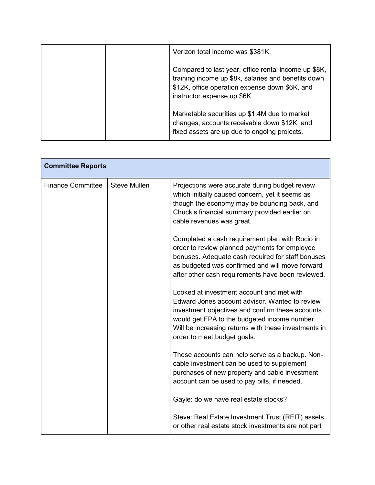|  | Verizon total income was \$381K.                                                                                                                                                             |
|--|----------------------------------------------------------------------------------------------------------------------------------------------------------------------------------------------|
|  | Compared to last year, office rental income up \$8K,<br>training income up \$8k, salaries and benefits down<br>\$12K, office operation expense down \$6K, and<br>instructor expense up \$6K. |
|  | Marketable securities up \$1.4M due to market<br>changes, accounts receivable down \$12K, and<br>fixed assets are up due to ongoing projects.                                                |

| <b>Committee Reports</b> |                     |                                                                                                                                                                                                                                                                                        |
|--------------------------|---------------------|----------------------------------------------------------------------------------------------------------------------------------------------------------------------------------------------------------------------------------------------------------------------------------------|
| <b>Finance Committee</b> | <b>Steve Mullen</b> | Projections were accurate during budget review<br>which initially caused concern, yet it seems as<br>though the economy may be bouncing back, and<br>Chuck's financial summary provided earlier on<br>cable revenues was great.                                                        |
|                          |                     | Completed a cash requirement plan with Rocio in<br>order to review planned payments for employee<br>bonuses. Adequate cash required for staff bonuses<br>as budgeted was confirmed and will move forward<br>after other cash requirements have been reviewed.                          |
|                          |                     | Looked at investment account and met with<br>Edward Jones account advisor. Wanted to review<br>investment objectives and confirm these accounts<br>would get FPA to the budgeted income number.<br>Will be increasing returns with these investments in<br>order to meet budget goals. |
|                          |                     | These accounts can help serve as a backup. Non-<br>cable investment can be used to supplement<br>purchases of new property and cable investment<br>account can be used to pay bills, if needed.                                                                                        |
|                          |                     | Gayle: do we have real estate stocks?                                                                                                                                                                                                                                                  |
|                          |                     | Steve: Real Estate Investment Trust (REIT) assets<br>or other real estate stock investments are not part                                                                                                                                                                               |